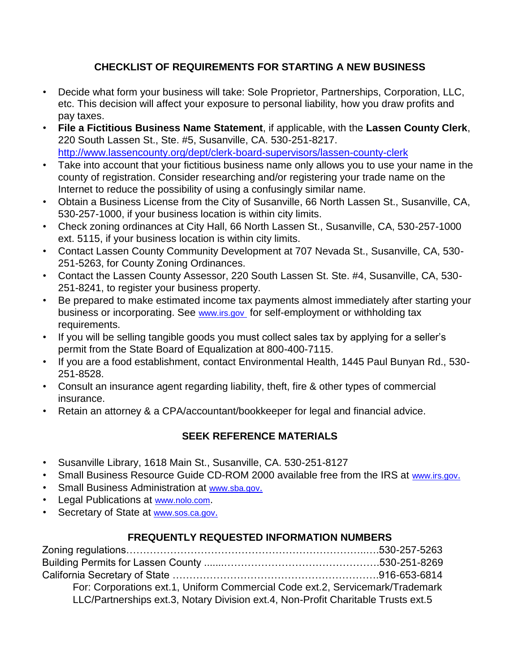## **CHECKLIST OF REQUIREMENTS FOR STARTING A NEW BUSINESS**

- Decide what form your business will take: Sole Proprietor, Partnerships, Corporation, LLC, etc. This decision will affect your exposure to personal liability, how you draw profits and pay taxes.
- **File a Fictitious Business Name Statement**, if applicable, with the **Lassen County Clerk**, 220 South Lassen St., Ste. #5, Susanville, CA. 530-251-8217. http://www.lassencounty.org/dept/clerk-board-supervisors/lassen-county-clerk
- Take into account that your fictitious business name only allows you to use your name in the county of registration. Consider researching and/or registering your trade name on the Internet to reduce the possibility of using a confusingly similar name.
- Obtain a Business License from the City of Susanville, 66 North Lassen St., Susanville, CA, 530-257-1000, if your business location is within city limits.
- Check zoning ordinances at City Hall, 66 North Lassen St., Susanville, CA, 530-257-1000 ext. 5115, if your business location is within city limits.
- Contact Lassen County Community Development at 707 Nevada St., Susanville, CA, 530- 251-5263, for County Zoning Ordinances.
- Contact the Lassen County Assessor, 220 South Lassen St. Ste. #4, Susanville, CA, 530- 251-8241, to register your business property.
- Be prepared to make estimated income tax payments almost immediately after starting your business or incorporating. See www.irs.gov for self-employment or withholding tax requirements.
- If you will be selling tangible goods you must collect sales tax by applying for a seller's permit from the State Board of Equalization at 800-400-7115.
- If you are a food establishment, contact Environmental Health, 1445 Paul Bunyan Rd., 530- 251-8528.
- Consult an insurance agent regarding liability, theft, fire & other types of commercial insurance.
- Retain an attorney & a CPA/accountant/bookkeeper for legal and financial advice.

## **SEEK REFERENCE MATERIALS**

- Susanville Library, 1618 Main St., Susanville, CA. 530-251-8127
- Small Business Resource Guide CD-ROM 2000 available free from the IRS at www.irs.gov.
- Small Business Administration at www.sba.gov.
- Legal Publications at www.nolo.com.
- Secretary of State at www.sos.ca.gov.

## **FREQUENTLY REQUESTED INFORMATION NUMBERS**

| For: Corporations ext.1, Uniform Commercial Code ext.2, Servicemark/Trademark     |  |
|-----------------------------------------------------------------------------------|--|
| LLC/Partnerships ext.3, Notary Division ext.4, Non-Profit Charitable Trusts ext.5 |  |